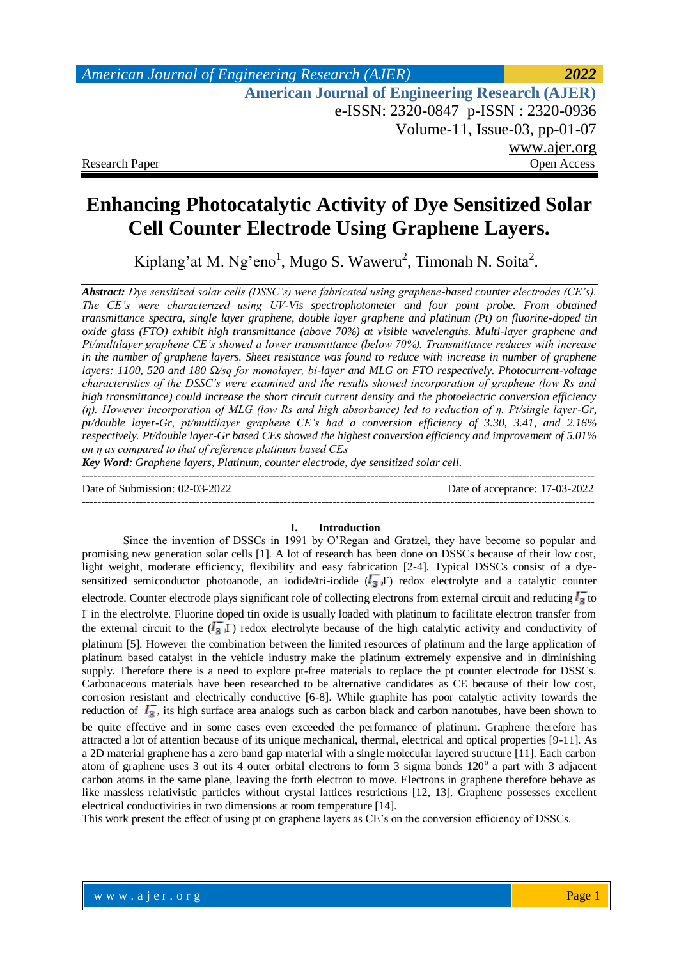# **Enhancing Photocatalytic Activity of Dye Sensitized Solar Cell Counter Electrode Using Graphene Layers.**

Kiplang'at M. Ng'eno<sup>1</sup>, Mugo S. Waweru<sup>2</sup>, Timonah N. Soita<sup>2</sup>.

*Abstract: Dye sensitized solar cells (DSSC's) were fabricated using graphene-based counter electrodes (CE's). The CE's were characterized using UV-Vis spectrophotometer and four point probe. From obtained transmittance spectra, single layer graphene, double layer graphene and platinum (Pt) on fluorine-doped tin oxide glass (FTO) exhibit high transmittance (above 70%) at visible wavelengths. Multi-layer graphene and Pt/multilayer graphene CE's showed a lower transmittance (below 70%). Transmittance reduces with increase in the number of graphene layers. Sheet resistance was found to reduce with increase in number of graphene layers: 1100, 520 and 180 Ω/sq for monolayer, bi-layer and MLG on FTO respectively. Photocurrent-voltage characteristics of the DSSC's were examined and the results showed incorporation of graphene (low Rs and high transmittance) could increase the short circuit current density and the photoelectric conversion efficiency (ƞ). However incorporation of MLG (low Rs and high absorbance) led to reduction of ƞ. Pt/single layer-Gr, pt/double layer-Gr, pt/multilayer graphene CE's had a conversion efficiency of 3.30, 3.41, and 2.16% respectively. Pt/double layer-Gr based CEs showed the highest conversion efficiency and improvement of 5.01% on ƞ as compared to that of reference platinum based CEs*

*Key Word: Graphene layers, Platinum, counter electrode, dye sensitized solar cell.*

Date of Submission: 02-03-2022 Date of acceptance: 17-03-2022

---------------------------------------------------------------------------------------------------------------------------------------

#### **I. Introduction**

---------------------------------------------------------------------------------------------------------------------------------------

Since the invention of DSSCs in 1991 by O'Regan and Gratzel, they have become so popular and promising new generation solar cells [1]. A lot of research has been done on DSSCs because of their low cost, light weight, moderate efficiency, flexibility and easy fabrication [2-4]. Typical DSSCs consist of a dyesensitized semiconductor photoanode, an iodide/tri-iodide  $(I_3^-]$  redox electrolyte and a catalytic counter electrode. Counter electrode plays significant role of collecting electrons from external circuit and reducing  $I_3$  to I in the electrolyte. Fluorine doped tin oxide is usually loaded with platinum to facilitate electron transfer from the external circuit to the  $(I_3^T)$  redox electrolyte because of the high catalytic activity and conductivity of platinum [5]. However the combination between the limited resources of platinum and the large application of platinum based catalyst in the vehicle industry make the platinum extremely expensive and in diminishing supply. Therefore there is a need to explore pt-free materials to replace the pt counter electrode for DSSCs. Carbonaceous materials have been researched to be alternative candidates as CE because of their low cost, corrosion resistant and electrically conductive [6-8]. While graphite has poor catalytic activity towards the reduction of  $I_3$ , its high surface area analogs such as carbon black and carbon nanotubes, have been shown to be quite effective and in some cases even exceeded the performance of platinum. Graphene therefore has attracted a lot of attention because of its unique mechanical, thermal, electrical and optical properties [9-11]. As

a 2D material graphene has a zero band gap material with a single molecular layered structure [11]. Each carbon atom of graphene uses 3 out its 4 outer orbital electrons to form 3 sigma bonds 120° a part with 3 adjacent carbon atoms in the same plane, leaving the forth electron to move. Electrons in graphene therefore behave as like massless relativistic particles without crystal lattices restrictions [12, 13]. Graphene possesses excellent electrical conductivities in two dimensions at room temperature [14].

This work present the effect of using pt on graphene layers as CE's on the conversion efficiency of DSSCs.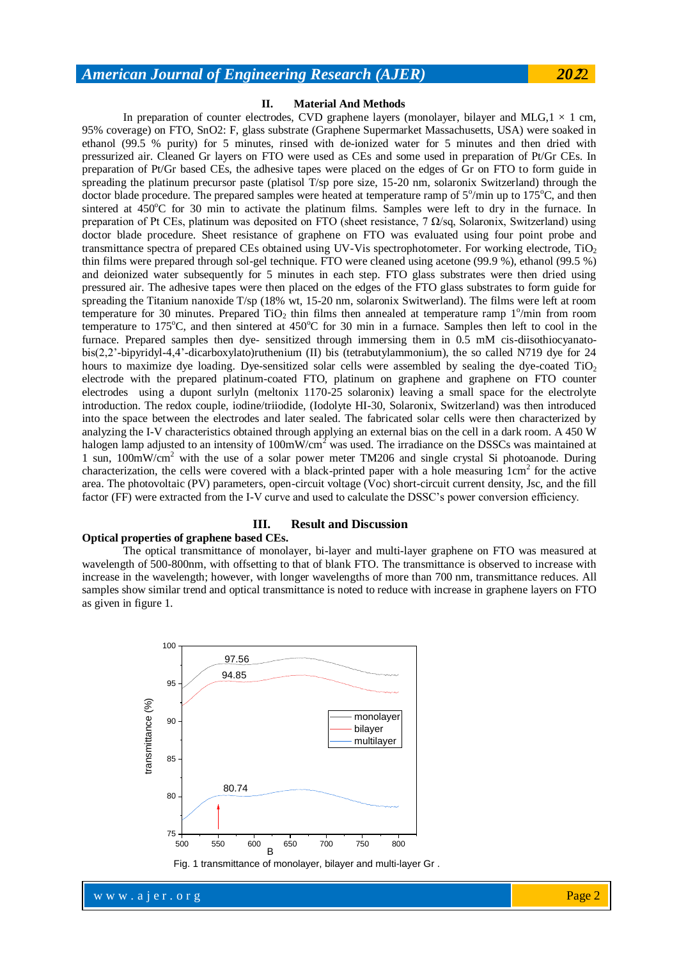## *American Journal of Engineering Research (AJER) 20***2**2

#### **II. Material And Methods**

In preparation of counter electrodes, CVD graphene layers (monolayer, bilayer and MLG, $1 \times 1$  cm, 95% coverage) on FTO, SnO2: F, glass substrate (Graphene Supermarket Massachusetts, USA) were soaked in ethanol (99.5 % purity) for 5 minutes, rinsed with de-ionized water for 5 minutes and then dried with pressurized air. Cleaned Gr layers on FTO were used as CEs and some used in preparation of Pt/Gr CEs. In preparation of Pt/Gr based CEs, the adhesive tapes were placed on the edges of Gr on FTO to form guide in spreading the platinum precursor paste (platisol T/sp pore size, 15-20 nm, solaronix Switzerland) through the doctor blade procedure. The prepared samples were heated at temperature ramp of 5°/min up to 175°C, and then sintered at  $450^{\circ}$ C for 30 min to activate the platinum films. Samples were left to dry in the furnace. In preparation of Pt CEs, platinum was deposited on FTO (sheet resistance, 7 Ω/sq, Solaronix, Switzerland) using doctor blade procedure. Sheet resistance of graphene on FTO was evaluated using four point probe and transmittance spectra of prepared CEs obtained using UV-Vis spectrophotometer. For working electrode,  $TiO<sub>2</sub>$ thin films were prepared through sol-gel technique. FTO were cleaned using acetone (99.9 %), ethanol (99.5 %) and deionized water subsequently for 5 minutes in each step. FTO glass substrates were then dried using pressured air. The adhesive tapes were then placed on the edges of the FTO glass substrates to form guide for spreading the Titanium nanoxide T/sp (18% wt, 15-20 nm, solaronix Switwerland). The films were left at room temperature for 30 minutes. Prepared  $TiO<sub>2</sub>$  thin films then annealed at temperature ramp  $1^{\circ}/$ min from room temperature to  $175^{\circ}$ C, and then sintered at  $450^{\circ}$ C for 30 min in a furnace. Samples then left to cool in the furnace. Prepared samples then dye- sensitized through immersing them in 0.5 mM cis-diisothiocyanatobis(2,2'-bipyridyl-4,4'-dicarboxylato)ruthenium (II) bis (tetrabutylammonium), the so called N719 dye for 24 hours to maximize dye loading. Dye-sensitized solar cells were assembled by sealing the dye-coated  $TiO<sub>2</sub>$ electrode with the prepared platinum-coated FTO, platinum on graphene and graphene on FTO counter electrodes using a dupont surlyln (meltonix 1170-25 solaronix) leaving a small space for the electrolyte introduction. The redox couple, iodine/triiodide, (Iodolyte HI-30, Solaronix, Switzerland) was then introduced into the space between the electrodes and later sealed. The fabricated solar cells were then characterized by analyzing the I-V characteristics obtained through applying an external bias on the cell in a dark room. A 450 W halogen lamp adjusted to an intensity of  $100mW/cm<sup>2</sup>$  was used. The irradiance on the DSSCs was maintained at 1 sun, 100mW/cm<sup>2</sup> with the use of a solar power meter TM206 and single crystal Si photoanode. During characterization, the cells were covered with a black-printed paper with a hole measuring  $1cm<sup>2</sup>$  for the active area. The photovoltaic (PV) parameters, open-circuit voltage (Voc) short-circuit current density, Jsc, and the fill factor (FF) were extracted from the I-V curve and used to calculate the DSSC's power conversion efficiency.

### **III. Result and Discussion**

#### **Optical properties of graphene based CEs.**

The optical transmittance of monolayer, bi-layer and multi-layer graphene on FTO was measured at wavelength of 500-800nm, with offsetting to that of blank FTO. The transmittance is observed to increase with increase in the wavelength; however, with longer wavelengths of more than 700 nm, transmittance reduces. All samples show similar trend and optical transmittance is noted to reduce with increase in graphene layers on FTO as given in figure 1.

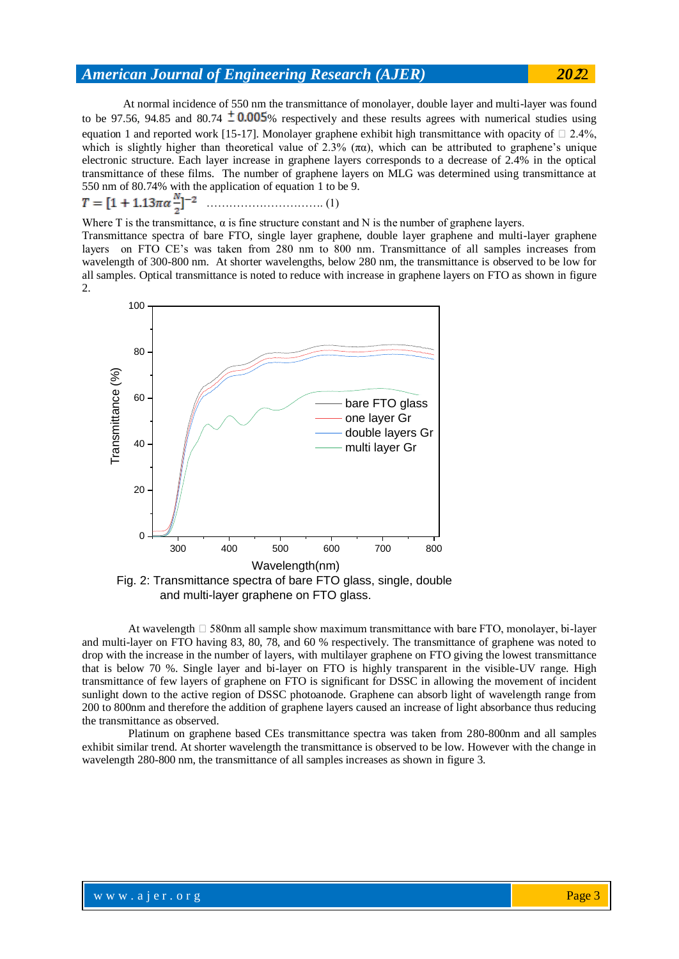## *American Journal of Engineering Research (AJER) 20***2**2

At normal incidence of 550 nm the transmittance of monolayer, double layer and multi-layer was found to be 97.56, 94.85 and 80.74  $\pm$  0.005% respectively and these results agrees with numerical studies using equation 1 and reported work [15-17]. Monolayer graphene exhibit high transmittance with opacity of  $\Box$  2.4%, which is slightly higher than theoretical value of 2.3%  $(\pi \alpha)$ , which can be attributed to graphene's unique electronic structure. Each layer increase in graphene layers corresponds to a decrease of 2.4% in the optical transmittance of these films. The number of graphene layers on MLG was determined using transmittance at 550 nm of 80.74% with the application of equation 1 to be 9.

$$
T = [1 + 1.13\pi\alpha \frac{N}{a}]^{-2}
$$
 (1)

Where T is the transmittance,  $\alpha$  is fine structure constant and N is the number of graphene layers.

Transmittance spectra of bare FTO, single layer graphene, double layer graphene and multi-layer graphene layers on FTO CE's was taken from 280 nm to 800 nm. Transmittance of all samples increases from wavelength of 300-800 nm. At shorter wavelengths, below 280 nm, the transmittance is observed to be low for all samples. Optical transmittance is noted to reduce with increase in graphene layers on FTO as shown in figure 2.



Fig. 2: Transmittance spectra of bare FTO glass, single, double and multi-layer graphene on FTO glass.

At wavelength  $\Box$  580nm all sample show maximum transmittance with bare FTO, monolayer, bi-layer and multi-layer on FTO having 83, 80, 78, and 60 % respectively. The transmittance of graphene was noted to drop with the increase in the number of layers, with multilayer graphene on FTO giving the lowest transmittance that is below 70 %. Single layer and bi-layer on FTO is highly transparent in the visible-UV range. High transmittance of few layers of graphene on FTO is significant for DSSC in allowing the movement of incident sunlight down to the active region of DSSC photoanode. Graphene can absorb light of wavelength range from 200 to 800nm and therefore the addition of graphene layers caused an increase of light absorbance thus reducing the transmittance as observed.

Platinum on graphene based CEs transmittance spectra was taken from 280-800nm and all samples exhibit similar trend. At shorter wavelength the transmittance is observed to be low. However with the change in wavelength 280-800 nm, the transmittance of all samples increases as shown in figure 3.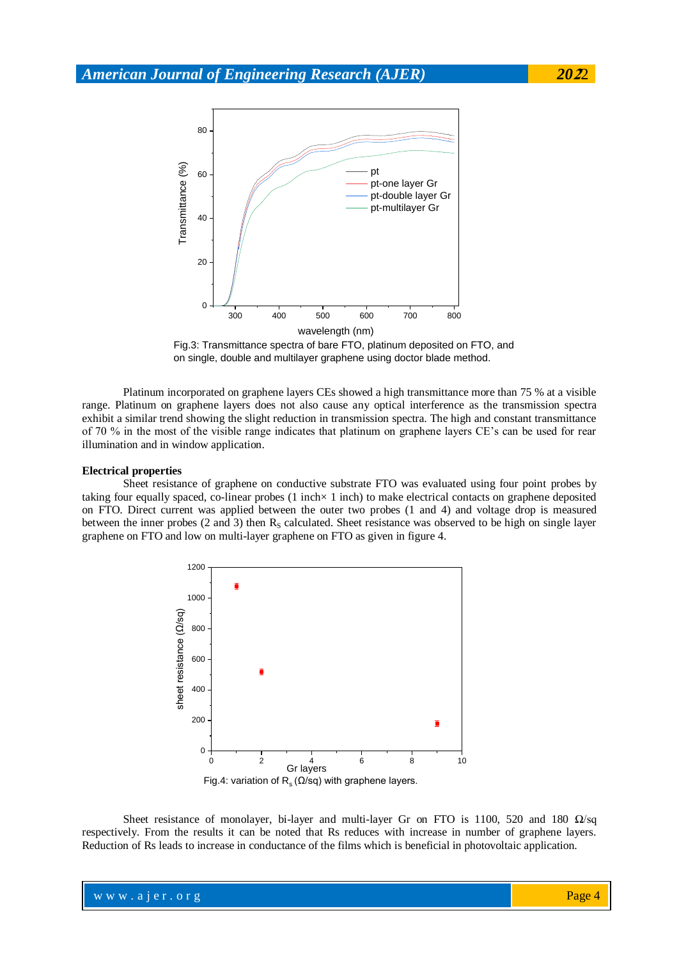

Fig.3: Transmittance spectra of bare FTO, platinum deposited on FTO, and on single, double and multilayer graphene using doctor blade method.

Platinum incorporated on graphene layers CEs showed a high transmittance more than 75 % at a visible range. Platinum on graphene layers does not also cause any optical interference as the transmission spectra exhibit a similar trend showing the slight reduction in transmission spectra. The high and constant transmittance of 70 % in the most of the visible range indicates that platinum on graphene layers CE's can be used for rear illumination and in window application.

#### **Electrical properties**

Sheet resistance of graphene on conductive substrate FTO was evaluated using four point probes by taking four equally spaced, co-linear probes (1 inch× 1 inch) to make electrical contacts on graphene deposited on FTO. Direct current was applied between the outer two probes (1 and 4) and voltage drop is measured between the inner probes (2 and 3) then  $R<sub>S</sub>$  calculated. Sheet resistance was observed to be high on single layer graphene on FTO and low on multi-layer graphene on FTO as given in figure 4.



Sheet resistance of monolayer, bi-layer and multi-layer Gr on FTO is 1100, 520 and 180  $\Omega$ /sq respectively. From the results it can be noted that Rs reduces with increase in number of graphene layers. Reduction of Rs leads to increase in conductance of the films which is beneficial in photovoltaic application.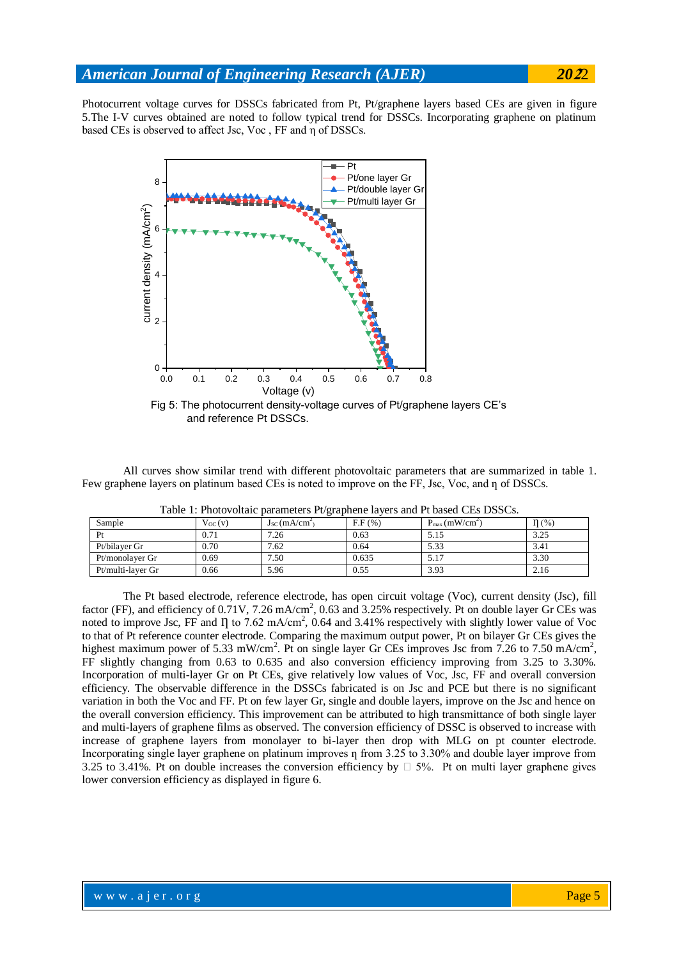Photocurrent voltage curves for DSSCs fabricated from Pt, Pt/graphene layers based CEs are given in figure 5.The I-V curves obtained are noted to follow typical trend for DSSCs. Incorporating graphene on platinum based CEs is observed to affect Jsc, Voc , FF and η of DSSCs.



All curves show similar trend with different photovoltaic parameters that are summarized in table 1. Few graphene layers on platinum based CEs is noted to improve on the FF, Jsc, Voc, and n of DSSCs.

| radio 1. I holovohalo parameters i e grapheno lavers and i i based CLS DSSCS. |             |                                |        |                    |           |
|-------------------------------------------------------------------------------|-------------|--------------------------------|--------|--------------------|-----------|
| Sample                                                                        | $V_{OC}(v)$ | $J_{SC}$ (mA/cm <sup>2</sup> ) | F.F(%) | $P_{max}(mW/cm^2)$ | $\Pi$ (%) |
| Pr                                                                            | 0.71        | 7.26                           | 0.63   | 5.15               | 3.25      |
| Pt/bilaver Gr                                                                 | 0.70        | 7.62                           | 0.64   | 5.33               | 3.41      |
| Pt/monolaver Gr                                                               | 0.69        | 7.50                           | 0.635  | 5.17               | 3.30      |
| Pt/multi-laver Gr                                                             | 0.66        | 5.96                           | 0.55   | 3.93               | 2.16      |

Table 1: Photovoltaic parameters Pt/graphene layers and Pt based CEs DSSCs.

The Pt based electrode, reference electrode, has open circuit voltage (Voc), current density (Jsc), fill factor (FF), and efficiency of  $0.71V$ ,  $7.26$  mA/cm<sup>2</sup>,  $0.63$  and  $3.25%$  respectively. Pt on double layer Gr CEs was noted to improve Jsc, FF and  $\Pi$  to 7.62 mA/cm<sup>2</sup>, 0.64 and 3.41% respectively with slightly lower value of Voc to that of Pt reference counter electrode. Comparing the maximum output power, Pt on bilayer Gr CEs gives the highest maximum power of 5.33 mW/cm<sup>2</sup>. Pt on single layer Gr CEs improves Jsc from 7.26 to 7.50 mA/cm<sup>2</sup>, FF slightly changing from 0.63 to 0.635 and also conversion efficiency improving from 3.25 to 3.30%. Incorporation of multi-layer Gr on Pt CEs, give relatively low values of Voc, Jsc, FF and overall conversion efficiency. The observable difference in the DSSCs fabricated is on Jsc and PCE but there is no significant variation in both the Voc and FF. Pt on few layer Gr, single and double layers, improve on the Jsc and hence on the overall conversion efficiency. This improvement can be attributed to high transmittance of both single layer and multi-layers of graphene films as observed. The conversion efficiency of DSSC is observed to increase with increase of graphene layers from monolayer to bi-layer then drop with MLG on pt counter electrode. Incorporating single layer graphene on platinum improves  $\eta$  from 3.25 to 3.30% and double layer improve from 3.25 to 3.41%. Pt on double increases the conversion efficiency by  $\Box$  5%. Pt on multi layer graphene gives lower conversion efficiency as displayed in figure 6.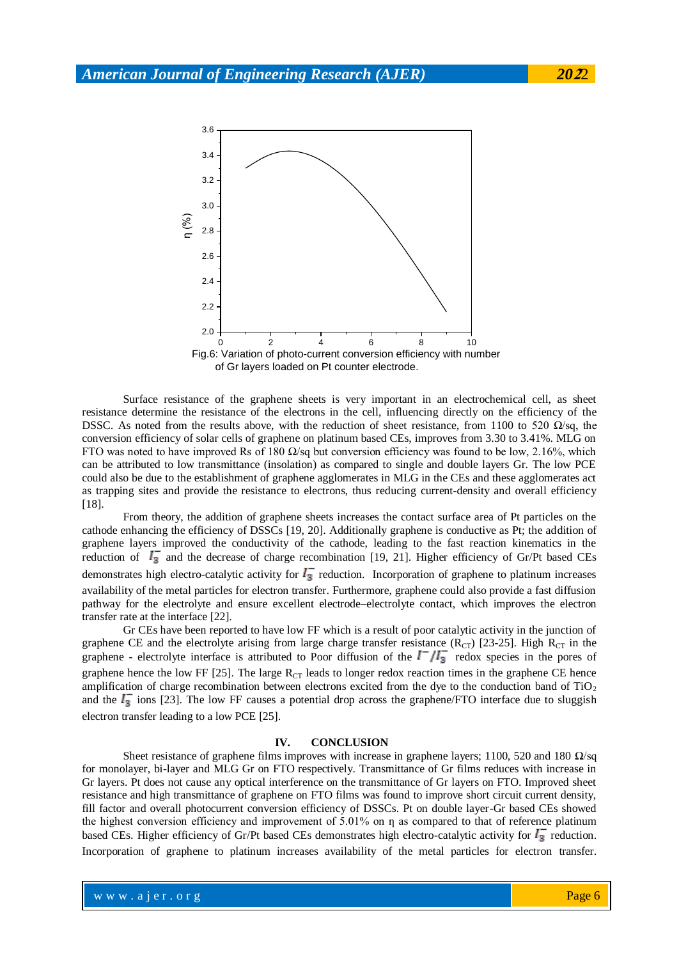

Surface resistance of the graphene sheets is very important in an electrochemical cell, as sheet resistance determine the resistance of the electrons in the cell, influencing directly on the efficiency of the DSSC. As noted from the results above, with the reduction of sheet resistance, from 1100 to 520  $\Omega$ /sq, the conversion efficiency of solar cells of graphene on platinum based CEs, improves from 3.30 to 3.41%. MLG on FTO was noted to have improved Rs of 180  $\Omega$ /sq but conversion efficiency was found to be low, 2.16%, which can be attributed to low transmittance (insolation) as compared to single and double layers Gr. The low PCE could also be due to the establishment of graphene agglomerates in MLG in the CEs and these agglomerates act as trapping sites and provide the resistance to electrons, thus reducing current-density and overall efficiency [18].

From theory, the addition of graphene sheets increases the contact surface area of Pt particles on the cathode enhancing the efficiency of DSSCs [19, 20]. Additionally graphene is conductive as Pt; the addition of graphene layers improved the conductivity of the cathode, leading to the fast reaction kinematics in the reduction of  $I_3^-$  and the decrease of charge recombination [19, 21]. Higher efficiency of Gr/Pt based CEs demonstrates high electro-catalytic activity for  $I_3^-$  reduction. Incorporation of graphene to platinum increases availability of the metal particles for electron transfer. Furthermore, graphene could also provide a fast diffusion pathway for the electrolyte and ensure excellent electrode–electrolyte contact, which improves the electron transfer rate at the interface [22].

Gr CEs have been reported to have low FF which is a result of poor catalytic activity in the junction of graphene CE and the electrolyte arising from large charge transfer resistance ( $R_{CT}$ ) [23-25]. High  $R_{CT}$  in the graphene - electrolyte interface is attributed to Poor diffusion of the  $\Gamma^{-}/I_{3}^{-}$  redox species in the pores of graphene hence the low FF  $[25]$ . The large  $R_{CT}$  leads to longer redox reaction times in the graphene CE hence amplification of charge recombination between electrons excited from the dye to the conduction band of TiO<sub>2</sub> and the  $I_3$  ions [23]. The low FF causes a potential drop across the graphene/FTO interface due to sluggish electron transfer leading to a low PCE [25].

#### **IV. CONCLUSION**

Sheet resistance of graphene films improves with increase in graphene layers; 1100, 520 and 180 Ω/sq for monolayer, bi-layer and MLG Gr on FTO respectively. Transmittance of Gr films reduces with increase in Gr layers. Pt does not cause any optical interference on the transmittance of Gr layers on FTO. Improved sheet resistance and high transmittance of graphene on FTO films was found to improve short circuit current density, fill factor and overall photocurrent conversion efficiency of DSSCs. Pt on double layer-Gr based CEs showed the highest conversion efficiency and improvement of  $5.01\%$  on  $\eta$  as compared to that of reference platinum based CEs. Higher efficiency of Gr/Pt based CEs demonstrates high electro-catalytic activity for  $I_3$  reduction. Incorporation of graphene to platinum increases availability of the metal particles for electron transfer.